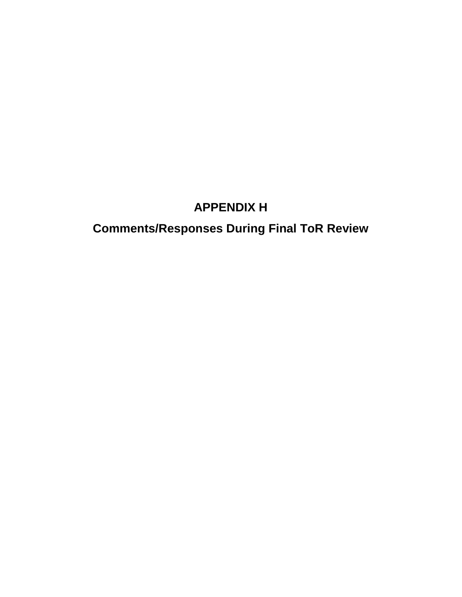## **APPENDIX H**

# **Comments/Responses During Final ToR Review**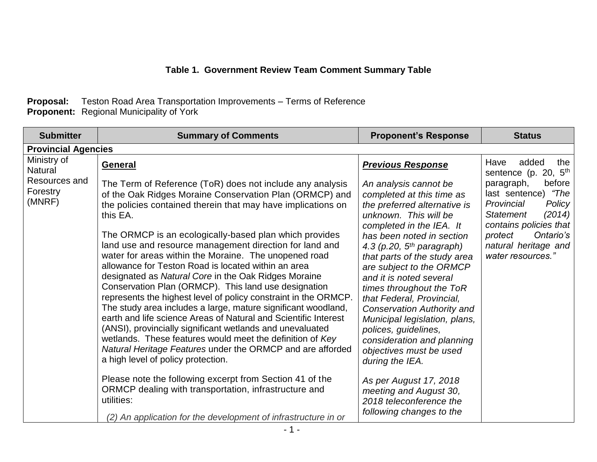#### **Table 1. Government Review Team Comment Summary Table**

#### **Proposal:** Teston Road Area Transportation Improvements – Terms of Reference **Proponent:** Regional Municipality of York

| <b>Submitter</b>                                                     | <b>Summary of Comments</b>                                                                                                                                                                                                                                                                                                                                                                                                                                                                                                                                                                                                             | <b>Proponent's Response</b>                                                                                                                                                                                                                                                                                                                        | <b>Status</b>                                                                                                                                                                                                                                                |
|----------------------------------------------------------------------|----------------------------------------------------------------------------------------------------------------------------------------------------------------------------------------------------------------------------------------------------------------------------------------------------------------------------------------------------------------------------------------------------------------------------------------------------------------------------------------------------------------------------------------------------------------------------------------------------------------------------------------|----------------------------------------------------------------------------------------------------------------------------------------------------------------------------------------------------------------------------------------------------------------------------------------------------------------------------------------------------|--------------------------------------------------------------------------------------------------------------------------------------------------------------------------------------------------------------------------------------------------------------|
| <b>Provincial Agencies</b>                                           |                                                                                                                                                                                                                                                                                                                                                                                                                                                                                                                                                                                                                                        |                                                                                                                                                                                                                                                                                                                                                    |                                                                                                                                                                                                                                                              |
| Ministry of<br><b>Natural</b><br>Resources and<br>Forestry<br>(MNRF) | <b>General</b><br>The Term of Reference (ToR) does not include any analysis<br>of the Oak Ridges Moraine Conservation Plan (ORMCP) and<br>the policies contained therein that may have implications on<br>this EA.<br>The ORMCP is an ecologically-based plan which provides<br>land use and resource management direction for land and<br>water for areas within the Moraine. The unopened road<br>allowance for Teston Road is located within an area<br>designated as Natural Core in the Oak Ridges Moraine<br>Conservation Plan (ORMCP). This land use designation                                                                | <b>Previous Response</b><br>An analysis cannot be<br>completed at this time as<br>the preferred alternative is<br>unknown. This will be<br>completed in the IEA. It<br>has been noted in section<br>4.3 (p.20, $5th$ paragraph)<br>that parts of the study area<br>are subject to the ORMCP<br>and it is noted several<br>times throughout the ToR | added<br>the<br>Have<br>sentence (p. 20, 5 <sup>th</sup><br>before<br>paragraph,<br>last sentence) "The<br>Provincial<br>Policy<br>(2014)<br><b>Statement</b><br>contains policies that<br>protect<br>Ontario's<br>natural heritage and<br>water resources." |
|                                                                      | represents the highest level of policy constraint in the ORMCP.<br>The study area includes a large, mature significant woodland,<br>earth and life science Areas of Natural and Scientific Interest<br>(ANSI), provincially significant wetlands and unevaluated<br>wetlands. These features would meet the definition of Key<br>Natural Heritage Features under the ORMCP and are afforded<br>a high level of policy protection.<br>Please note the following excerpt from Section 41 of the<br>ORMCP dealing with transportation, infrastructure and<br>utilities:<br>(2) An application for the development of infrastructure in or | that Federal, Provincial,<br><b>Conservation Authority and</b><br>Municipal legislation, plans,<br>polices, guidelines,<br>consideration and planning<br>objectives must be used<br>during the IEA.<br>As per August 17, 2018<br>meeting and August 30,<br>2018 teleconference the<br>following changes to the                                     |                                                                                                                                                                                                                                                              |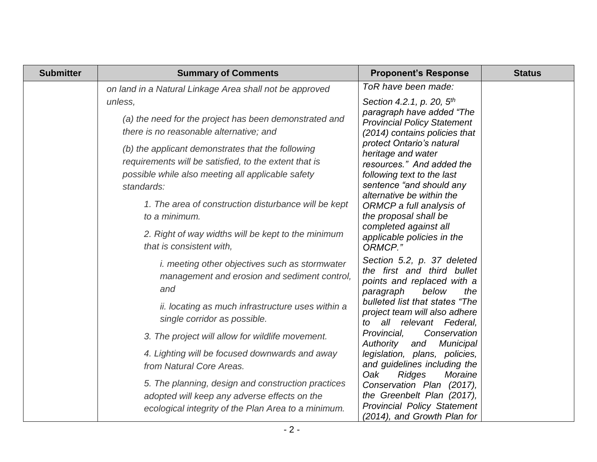| <b>Submitter</b> | <b>Summary of Comments</b>                                                                                                                                                                                                                                                                    | <b>Proponent's Response</b>                                                                                                                                                                                                                                                         | <b>Status</b> |
|------------------|-----------------------------------------------------------------------------------------------------------------------------------------------------------------------------------------------------------------------------------------------------------------------------------------------|-------------------------------------------------------------------------------------------------------------------------------------------------------------------------------------------------------------------------------------------------------------------------------------|---------------|
|                  | on land in a Natural Linkage Area shall not be approved                                                                                                                                                                                                                                       | ToR have been made:                                                                                                                                                                                                                                                                 |               |
|                  | unless,<br>(a) the need for the project has been demonstrated and<br>there is no reasonable alternative; and<br>(b) the applicant demonstrates that the following<br>requirements will be satisfied, to the extent that is<br>possible while also meeting all applicable safety<br>standards: | Section 4.2.1, p. 20, 5 <sup>th</sup><br>paragraph have added "The<br><b>Provincial Policy Statement</b><br>(2014) contains policies that<br>protect Ontario's natural<br>heritage and water<br>resources." And added the<br>following text to the last<br>sentence "and should any |               |
|                  | 1. The area of construction disturbance will be kept<br>to a minimum.<br>2. Right of way widths will be kept to the minimum<br>that is consistent with,                                                                                                                                       | alternative be within the<br>ORMCP a full analysis of<br>the proposal shall be<br>completed against all<br>applicable policies in the<br>ORMCP."                                                                                                                                    |               |
|                  | <i>i. meeting other objectives such as stormwater</i><br>management and erosion and sediment control,<br>and<br>ii. locating as much infrastructure uses within a<br>single corridor as possible.                                                                                             | Section 5.2, p. 37 deleted<br>the first and third bullet<br>points and replaced with a<br>paragraph<br>below<br>the<br>bulleted list that states "The<br>project team will also adhere<br>to all relevant Federal,                                                                  |               |
|                  | 3. The project will allow for wildlife movement.                                                                                                                                                                                                                                              | Provincial,<br>Conservation<br>Authority<br>Municipal<br>and                                                                                                                                                                                                                        |               |
|                  | 4. Lighting will be focused downwards and away<br>from Natural Core Areas.                                                                                                                                                                                                                    | legislation, plans, policies,<br>and guidelines including the<br>Oak<br><b>Ridges</b><br>Moraine                                                                                                                                                                                    |               |
|                  | 5. The planning, design and construction practices<br>adopted will keep any adverse effects on the<br>ecological integrity of the Plan Area to a minimum.                                                                                                                                     | Conservation Plan (2017),<br>the Greenbelt Plan (2017),<br><b>Provincial Policy Statement</b><br>(2014), and Growth Plan for                                                                                                                                                        |               |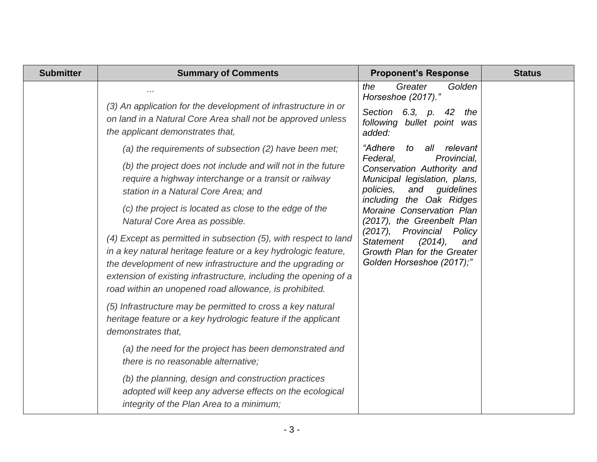| <b>Submitter</b> | <b>Summary of Comments</b>                                                                                                                                                                                                                                                                                                                                                                                                                                                                                                                                                                                                                        | <b>Proponent's Response</b>                                                                                                                                                                                                                                                                                                                                                                        | <b>Status</b> |
|------------------|---------------------------------------------------------------------------------------------------------------------------------------------------------------------------------------------------------------------------------------------------------------------------------------------------------------------------------------------------------------------------------------------------------------------------------------------------------------------------------------------------------------------------------------------------------------------------------------------------------------------------------------------------|----------------------------------------------------------------------------------------------------------------------------------------------------------------------------------------------------------------------------------------------------------------------------------------------------------------------------------------------------------------------------------------------------|---------------|
|                  | (3) An application for the development of infrastructure in or<br>on land in a Natural Core Area shall not be approved unless<br>the applicant demonstrates that,                                                                                                                                                                                                                                                                                                                                                                                                                                                                                 | the<br>Greater<br>Golden<br>Horseshoe (2017)."<br>Section 6.3, p.<br>42<br>the<br>following bullet point was<br>added:                                                                                                                                                                                                                                                                             |               |
|                  | (a) the requirements of subsection (2) have been met;<br>(b) the project does not include and will not in the future<br>require a highway interchange or a transit or railway<br>station in a Natural Core Area; and<br>(c) the project is located as close to the edge of the<br>Natural Core Area as possible.<br>(4) Except as permitted in subsection (5), with respect to land<br>in a key natural heritage feature or a key hydrologic feature,<br>the development of new infrastructure and the upgrading or<br>extension of existing infrastructure, including the opening of a<br>road within an unopened road allowance, is prohibited. | "Adhere<br>relevant<br>to<br>all<br>Federal,<br>Provincial,<br>Conservation Authority and<br>Municipal legislation, plans,<br>policies,<br>and <i>guidelines</i><br>including the Oak Ridges<br>Moraine Conservation Plan<br>(2017), the Greenbelt Plan<br>$(2017)$ ,<br>Provincial<br>Policy<br><b>Statement</b><br>$(2014)$ ,<br>and<br>Growth Plan for the Greater<br>Golden Horseshoe (2017);" |               |
|                  | (5) Infrastructure may be permitted to cross a key natural<br>heritage feature or a key hydrologic feature if the applicant<br>demonstrates that,<br>(a) the need for the project has been demonstrated and                                                                                                                                                                                                                                                                                                                                                                                                                                       |                                                                                                                                                                                                                                                                                                                                                                                                    |               |
|                  | there is no reasonable alternative;<br>(b) the planning, design and construction practices<br>adopted will keep any adverse effects on the ecological<br>integrity of the Plan Area to a minimum;                                                                                                                                                                                                                                                                                                                                                                                                                                                 |                                                                                                                                                                                                                                                                                                                                                                                                    |               |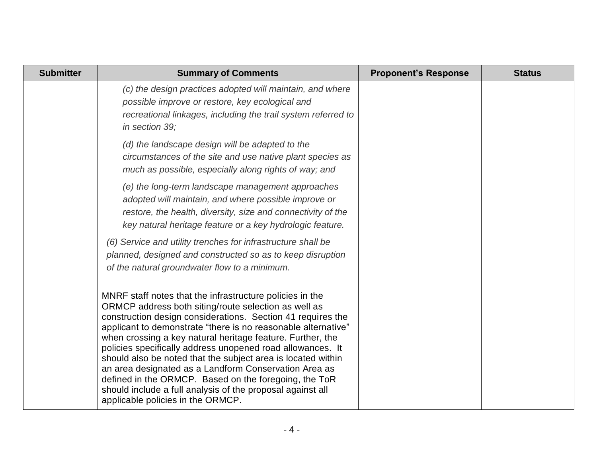| <b>Submitter</b> | <b>Summary of Comments</b>                                                                                                                                                                                                                                                                                                                                                                                                                                                                                                                                                                                                                                        | <b>Proponent's Response</b> | <b>Status</b> |
|------------------|-------------------------------------------------------------------------------------------------------------------------------------------------------------------------------------------------------------------------------------------------------------------------------------------------------------------------------------------------------------------------------------------------------------------------------------------------------------------------------------------------------------------------------------------------------------------------------------------------------------------------------------------------------------------|-----------------------------|---------------|
|                  | (c) the design practices adopted will maintain, and where<br>possible improve or restore, key ecological and<br>recreational linkages, including the trail system referred to<br>in section 39;                                                                                                                                                                                                                                                                                                                                                                                                                                                                   |                             |               |
|                  | (d) the landscape design will be adapted to the<br>circumstances of the site and use native plant species as<br>much as possible, especially along rights of way; and                                                                                                                                                                                                                                                                                                                                                                                                                                                                                             |                             |               |
|                  | (e) the long-term landscape management approaches<br>adopted will maintain, and where possible improve or<br>restore, the health, diversity, size and connectivity of the<br>key natural heritage feature or a key hydrologic feature.                                                                                                                                                                                                                                                                                                                                                                                                                            |                             |               |
|                  | (6) Service and utility trenches for infrastructure shall be<br>planned, designed and constructed so as to keep disruption<br>of the natural groundwater flow to a minimum.                                                                                                                                                                                                                                                                                                                                                                                                                                                                                       |                             |               |
|                  | MNRF staff notes that the infrastructure policies in the<br>ORMCP address both siting/route selection as well as<br>construction design considerations. Section 41 requires the<br>applicant to demonstrate "there is no reasonable alternative"<br>when crossing a key natural heritage feature. Further, the<br>policies specifically address unopened road allowances. It<br>should also be noted that the subject area is located within<br>an area designated as a Landform Conservation Area as<br>defined in the ORMCP. Based on the foregoing, the ToR<br>should include a full analysis of the proposal against all<br>applicable policies in the ORMCP. |                             |               |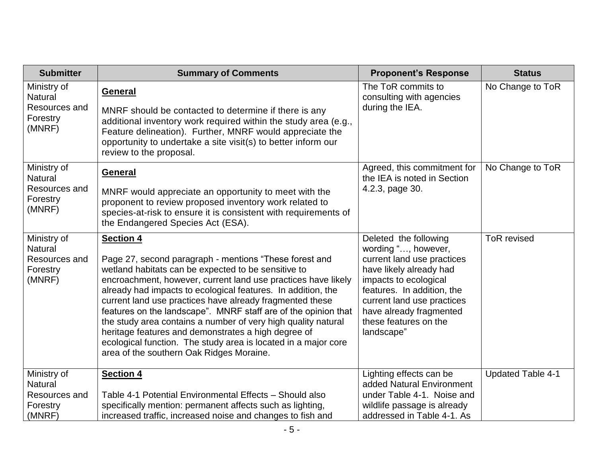| <b>Submitter</b>                                                     | <b>Summary of Comments</b>                                                                                                                                                                                                                                                                                                                                                                                                                                                                                                                                                                                                             | <b>Proponent's Response</b>                                                                                                                                                                                                                                  | <b>Status</b>            |
|----------------------------------------------------------------------|----------------------------------------------------------------------------------------------------------------------------------------------------------------------------------------------------------------------------------------------------------------------------------------------------------------------------------------------------------------------------------------------------------------------------------------------------------------------------------------------------------------------------------------------------------------------------------------------------------------------------------------|--------------------------------------------------------------------------------------------------------------------------------------------------------------------------------------------------------------------------------------------------------------|--------------------------|
| Ministry of<br><b>Natural</b><br>Resources and<br>Forestry<br>(MNRF) | General<br>MNRF should be contacted to determine if there is any<br>additional inventory work required within the study area (e.g.,<br>Feature delineation). Further, MNRF would appreciate the<br>opportunity to undertake a site visit(s) to better inform our<br>review to the proposal.                                                                                                                                                                                                                                                                                                                                            | The ToR commits to<br>consulting with agencies<br>during the IEA.                                                                                                                                                                                            | No Change to ToR         |
| Ministry of<br><b>Natural</b><br>Resources and<br>Forestry<br>(MNRF) | General<br>MNRF would appreciate an opportunity to meet with the<br>proponent to review proposed inventory work related to<br>species-at-risk to ensure it is consistent with requirements of<br>the Endangered Species Act (ESA).                                                                                                                                                                                                                                                                                                                                                                                                     | Agreed, this commitment for<br>the IEA is noted in Section<br>4.2.3, page 30.                                                                                                                                                                                | No Change to ToR         |
| Ministry of<br><b>Natural</b><br>Resources and<br>Forestry<br>(MNRF) | <b>Section 4</b><br>Page 27, second paragraph - mentions "These forest and<br>wetland habitats can be expected to be sensitive to<br>encroachment, however, current land use practices have likely<br>already had impacts to ecological features. In addition, the<br>current land use practices have already fragmented these<br>features on the landscape". MNRF staff are of the opinion that<br>the study area contains a number of very high quality natural<br>heritage features and demonstrates a high degree of<br>ecological function. The study area is located in a major core<br>area of the southern Oak Ridges Moraine. | Deleted the following<br>wording ", however,<br>current land use practices<br>have likely already had<br>impacts to ecological<br>features. In addition, the<br>current land use practices<br>have already fragmented<br>these features on the<br>landscape" | <b>ToR</b> revised       |
| Ministry of<br><b>Natural</b><br>Resources and<br>Forestry<br>(MNRF) | <b>Section 4</b><br>Table 4-1 Potential Environmental Effects - Should also<br>specifically mention: permanent affects such as lighting,<br>increased traffic, increased noise and changes to fish and                                                                                                                                                                                                                                                                                                                                                                                                                                 | Lighting effects can be<br>added Natural Environment<br>under Table 4-1. Noise and<br>wildlife passage is already<br>addressed in Table 4-1. As                                                                                                              | <b>Updated Table 4-1</b> |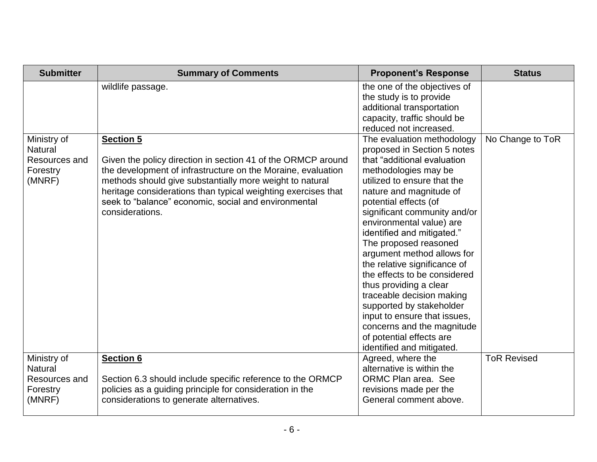| <b>Submitter</b>                                                     | <b>Summary of Comments</b>                                                                                                                                                                                                                                                                                                                               | <b>Proponent's Response</b>                                                                                                                                                                                                                                                                                                                                                                                                                                                                                                                                                                                                    | <b>Status</b>      |
|----------------------------------------------------------------------|----------------------------------------------------------------------------------------------------------------------------------------------------------------------------------------------------------------------------------------------------------------------------------------------------------------------------------------------------------|--------------------------------------------------------------------------------------------------------------------------------------------------------------------------------------------------------------------------------------------------------------------------------------------------------------------------------------------------------------------------------------------------------------------------------------------------------------------------------------------------------------------------------------------------------------------------------------------------------------------------------|--------------------|
|                                                                      | wildlife passage.                                                                                                                                                                                                                                                                                                                                        | the one of the objectives of<br>the study is to provide<br>additional transportation<br>capacity, traffic should be<br>reduced not increased.                                                                                                                                                                                                                                                                                                                                                                                                                                                                                  |                    |
| Ministry of<br><b>Natural</b><br>Resources and<br>Forestry<br>(MNRF) | <b>Section 5</b><br>Given the policy direction in section 41 of the ORMCP around<br>the development of infrastructure on the Moraine, evaluation<br>methods should give substantially more weight to natural<br>heritage considerations than typical weighting exercises that<br>seek to "balance" economic, social and environmental<br>considerations. | The evaluation methodology<br>proposed in Section 5 notes<br>that "additional evaluation<br>methodologies may be<br>utilized to ensure that the<br>nature and magnitude of<br>potential effects (of<br>significant community and/or<br>environmental value) are<br>identified and mitigated."<br>The proposed reasoned<br>argument method allows for<br>the relative significance of<br>the effects to be considered<br>thus providing a clear<br>traceable decision making<br>supported by stakeholder<br>input to ensure that issues,<br>concerns and the magnitude<br>of potential effects are<br>identified and mitigated. | No Change to ToR   |
| Ministry of<br><b>Natural</b><br>Resources and<br>Forestry<br>(MNRF) | <b>Section 6</b><br>Section 6.3 should include specific reference to the ORMCP<br>policies as a guiding principle for consideration in the<br>considerations to generate alternatives.                                                                                                                                                                   | Agreed, where the<br>alternative is within the<br>ORMC Plan area. See<br>revisions made per the<br>General comment above.                                                                                                                                                                                                                                                                                                                                                                                                                                                                                                      | <b>ToR Revised</b> |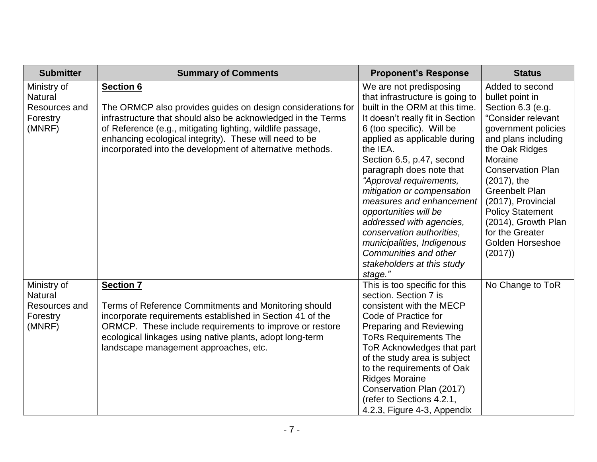| <b>Submitter</b>                                                     | <b>Summary of Comments</b>                                                                                                                                                                                                                                                                                                           | <b>Proponent's Response</b>                                                                                                                                                                                                                                                                                                                                                                                                                                                                                                               | <b>Status</b>                                                                                                                                                                                                                                                                                                                                            |
|----------------------------------------------------------------------|--------------------------------------------------------------------------------------------------------------------------------------------------------------------------------------------------------------------------------------------------------------------------------------------------------------------------------------|-------------------------------------------------------------------------------------------------------------------------------------------------------------------------------------------------------------------------------------------------------------------------------------------------------------------------------------------------------------------------------------------------------------------------------------------------------------------------------------------------------------------------------------------|----------------------------------------------------------------------------------------------------------------------------------------------------------------------------------------------------------------------------------------------------------------------------------------------------------------------------------------------------------|
| Ministry of<br><b>Natural</b><br>Resources and<br>Forestry<br>(MNRF) | <b>Section 6</b><br>The ORMCP also provides guides on design considerations for<br>infrastructure that should also be acknowledged in the Terms<br>of Reference (e.g., mitigating lighting, wildlife passage,<br>enhancing ecological integrity). These will need to be<br>incorporated into the development of alternative methods. | We are not predisposing<br>that infrastructure is going to<br>built in the ORM at this time.<br>It doesn't really fit in Section<br>6 (too specific). Will be<br>applied as applicable during<br>the IEA.<br>Section 6.5, p.47, second<br>paragraph does note that<br>"Approval requirements,<br>mitigation or compensation<br>measures and enhancement<br>opportunities will be<br>addressed with agencies,<br>conservation authorities,<br>municipalities, Indigenous<br>Communities and other<br>stakeholders at this study<br>stage." | Added to second<br>bullet point in<br>Section 6.3 (e.g.<br>"Consider relevant<br>government policies<br>and plans including<br>the Oak Ridges<br>Moraine<br><b>Conservation Plan</b><br>$(2017)$ , the<br><b>Greenbelt Plan</b><br>(2017), Provincial<br><b>Policy Statement</b><br>(2014), Growth Plan<br>for the Greater<br>Golden Horseshoe<br>(2017) |
| Ministry of<br><b>Natural</b><br>Resources and<br>Forestry<br>(MNRF) | <b>Section 7</b><br>Terms of Reference Commitments and Monitoring should<br>incorporate requirements established in Section 41 of the<br>ORMCP. These include requirements to improve or restore<br>ecological linkages using native plants, adopt long-term<br>landscape management approaches, etc.                                | This is too specific for this<br>section. Section 7 is<br>consistent with the MECP<br>Code of Practice for<br><b>Preparing and Reviewing</b><br><b>ToRs Requirements The</b><br>ToR Acknowledges that part<br>of the study area is subject<br>to the requirements of Oak<br><b>Ridges Moraine</b><br>Conservation Plan (2017)<br>(refer to Sections 4.2.1,<br>4.2.3, Figure 4-3, Appendix                                                                                                                                                 | No Change to ToR                                                                                                                                                                                                                                                                                                                                         |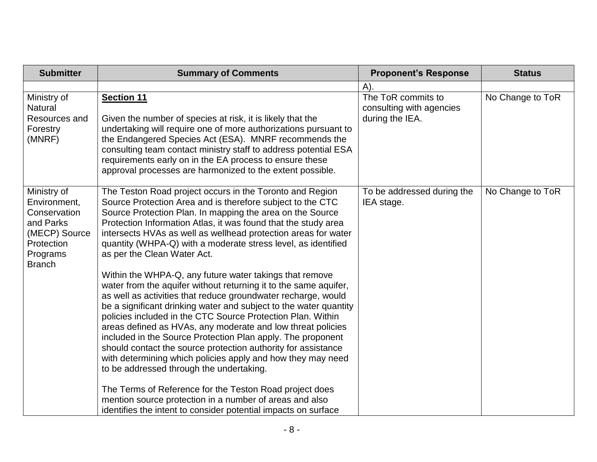| <b>Submitter</b>                                                                                                     | <b>Summary of Comments</b>                                                                                                                                                                                                                                                                                                                                                                                                                                                                                                                                                                                                                                                                                                                                                                                                                                                                                                                                                                                                                                                                                                                                                                                                                                    | <b>Proponent's Response</b>                                       | <b>Status</b>    |
|----------------------------------------------------------------------------------------------------------------------|---------------------------------------------------------------------------------------------------------------------------------------------------------------------------------------------------------------------------------------------------------------------------------------------------------------------------------------------------------------------------------------------------------------------------------------------------------------------------------------------------------------------------------------------------------------------------------------------------------------------------------------------------------------------------------------------------------------------------------------------------------------------------------------------------------------------------------------------------------------------------------------------------------------------------------------------------------------------------------------------------------------------------------------------------------------------------------------------------------------------------------------------------------------------------------------------------------------------------------------------------------------|-------------------------------------------------------------------|------------------|
|                                                                                                                      |                                                                                                                                                                                                                                                                                                                                                                                                                                                                                                                                                                                                                                                                                                                                                                                                                                                                                                                                                                                                                                                                                                                                                                                                                                                               | A)                                                                |                  |
| Ministry of<br><b>Natural</b><br>Resources and<br>Forestry<br>(MNRF)                                                 | <b>Section 11</b><br>Given the number of species at risk, it is likely that the<br>undertaking will require one of more authorizations pursuant to<br>the Endangered Species Act (ESA). MNRF recommends the<br>consulting team contact ministry staff to address potential ESA<br>requirements early on in the EA process to ensure these<br>approval processes are harmonized to the extent possible.                                                                                                                                                                                                                                                                                                                                                                                                                                                                                                                                                                                                                                                                                                                                                                                                                                                        | The ToR commits to<br>consulting with agencies<br>during the IEA. | No Change to ToR |
| Ministry of<br>Environment,<br>Conservation<br>and Parks<br>(MECP) Source<br>Protection<br>Programs<br><b>Branch</b> | The Teston Road project occurs in the Toronto and Region<br>Source Protection Area and is therefore subject to the CTC<br>Source Protection Plan. In mapping the area on the Source<br>Protection Information Atlas, it was found that the study area<br>intersects HVAs as well as wellhead protection areas for water<br>quantity (WHPA-Q) with a moderate stress level, as identified<br>as per the Clean Water Act.<br>Within the WHPA-Q, any future water takings that remove<br>water from the aquifer without returning it to the same aquifer,<br>as well as activities that reduce groundwater recharge, would<br>be a significant drinking water and subject to the water quantity<br>policies included in the CTC Source Protection Plan. Within<br>areas defined as HVAs, any moderate and low threat policies<br>included in the Source Protection Plan apply. The proponent<br>should contact the source protection authority for assistance<br>with determining which policies apply and how they may need<br>to be addressed through the undertaking.<br>The Terms of Reference for the Teston Road project does<br>mention source protection in a number of areas and also<br>identifies the intent to consider potential impacts on surface | To be addressed during the<br>IEA stage.                          | No Change to ToR |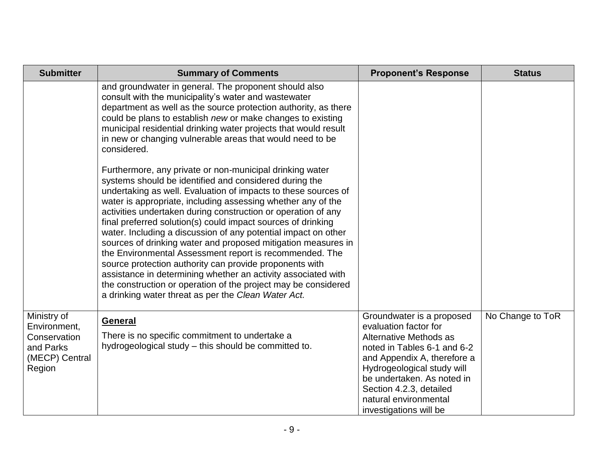| <b>Submitter</b>                                                                     | <b>Summary of Comments</b>                                                                                                                                                                                                                                                                                                                                                                                                                                                                                                                                                                                                                                                                                                                                                                                                               | <b>Proponent's Response</b>                                                                                                                                                                                                                                                          | <b>Status</b>    |
|--------------------------------------------------------------------------------------|------------------------------------------------------------------------------------------------------------------------------------------------------------------------------------------------------------------------------------------------------------------------------------------------------------------------------------------------------------------------------------------------------------------------------------------------------------------------------------------------------------------------------------------------------------------------------------------------------------------------------------------------------------------------------------------------------------------------------------------------------------------------------------------------------------------------------------------|--------------------------------------------------------------------------------------------------------------------------------------------------------------------------------------------------------------------------------------------------------------------------------------|------------------|
|                                                                                      | and groundwater in general. The proponent should also<br>consult with the municipality's water and wastewater<br>department as well as the source protection authority, as there<br>could be plans to establish new or make changes to existing<br>municipal residential drinking water projects that would result<br>in new or changing vulnerable areas that would need to be<br>considered.                                                                                                                                                                                                                                                                                                                                                                                                                                           |                                                                                                                                                                                                                                                                                      |                  |
|                                                                                      | Furthermore, any private or non-municipal drinking water<br>systems should be identified and considered during the<br>undertaking as well. Evaluation of impacts to these sources of<br>water is appropriate, including assessing whether any of the<br>activities undertaken during construction or operation of any<br>final preferred solution(s) could impact sources of drinking<br>water. Including a discussion of any potential impact on other<br>sources of drinking water and proposed mitigation measures in<br>the Environmental Assessment report is recommended. The<br>source protection authority can provide proponents with<br>assistance in determining whether an activity associated with<br>the construction or operation of the project may be considered<br>a drinking water threat as per the Clean Water Act. |                                                                                                                                                                                                                                                                                      |                  |
| Ministry of<br>Environment,<br>Conservation<br>and Parks<br>(MECP) Central<br>Region | General<br>There is no specific commitment to undertake a<br>hydrogeological study – this should be committed to.                                                                                                                                                                                                                                                                                                                                                                                                                                                                                                                                                                                                                                                                                                                        | Groundwater is a proposed<br>evaluation factor for<br>Alternative Methods as<br>noted in Tables 6-1 and 6-2<br>and Appendix A, therefore a<br>Hydrogeological study will<br>be undertaken. As noted in<br>Section 4.2.3, detailed<br>natural environmental<br>investigations will be | No Change to ToR |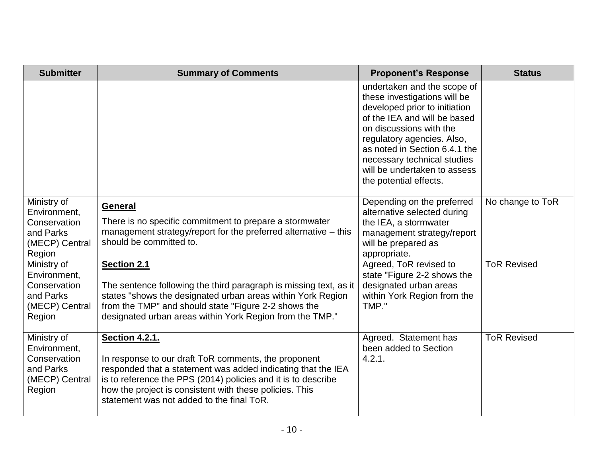| <b>Submitter</b>                                                                     | <b>Summary of Comments</b>                                                                                                                                                                                                                                                                                             | <b>Proponent's Response</b>                                                                                                                                                                                                                                                                                     | <b>Status</b>      |
|--------------------------------------------------------------------------------------|------------------------------------------------------------------------------------------------------------------------------------------------------------------------------------------------------------------------------------------------------------------------------------------------------------------------|-----------------------------------------------------------------------------------------------------------------------------------------------------------------------------------------------------------------------------------------------------------------------------------------------------------------|--------------------|
|                                                                                      |                                                                                                                                                                                                                                                                                                                        | undertaken and the scope of<br>these investigations will be<br>developed prior to initiation<br>of the IEA and will be based<br>on discussions with the<br>regulatory agencies. Also,<br>as noted in Section 6.4.1 the<br>necessary technical studies<br>will be undertaken to assess<br>the potential effects. |                    |
| Ministry of<br>Environment,<br>Conservation<br>and Parks<br>(MECP) Central<br>Region | <b>General</b><br>There is no specific commitment to prepare a stormwater<br>management strategy/report for the preferred alternative – this<br>should be committed to.                                                                                                                                                | Depending on the preferred<br>alternative selected during<br>the IEA, a stormwater<br>management strategy/report<br>will be prepared as<br>appropriate.                                                                                                                                                         | No change to ToR   |
| Ministry of<br>Environment,<br>Conservation<br>and Parks<br>(MECP) Central<br>Region | <b>Section 2.1</b><br>The sentence following the third paragraph is missing text, as it<br>states "shows the designated urban areas within York Region<br>from the TMP" and should state "Figure 2-2 shows the<br>designated urban areas within York Region from the TMP."                                             | Agreed, ToR revised to<br>state "Figure 2-2 shows the<br>designated urban areas<br>within York Region from the<br>TMP."                                                                                                                                                                                         | <b>ToR Revised</b> |
| Ministry of<br>Environment,<br>Conservation<br>and Parks<br>(MECP) Central<br>Region | <b>Section 4.2.1.</b><br>In response to our draft ToR comments, the proponent<br>responded that a statement was added indicating that the IEA<br>is to reference the PPS (2014) policies and it is to describe<br>how the project is consistent with these policies. This<br>statement was not added to the final ToR. | Agreed. Statement has<br>been added to Section<br>4.2.1.                                                                                                                                                                                                                                                        | <b>ToR Revised</b> |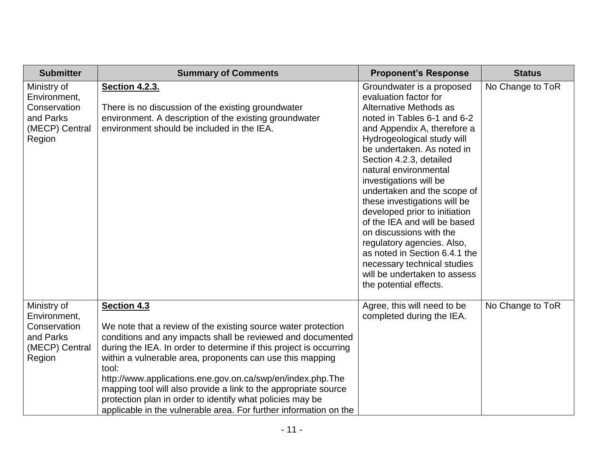| <b>Submitter</b>                                                                     | <b>Summary of Comments</b>                                                                                                                                                                                                                                                                                                                                                                                                                                                                                                                                 | <b>Proponent's Response</b>                                                                                                                                                                                                                                                                                                                                                                                                                                                                                                                                                                             | <b>Status</b>    |
|--------------------------------------------------------------------------------------|------------------------------------------------------------------------------------------------------------------------------------------------------------------------------------------------------------------------------------------------------------------------------------------------------------------------------------------------------------------------------------------------------------------------------------------------------------------------------------------------------------------------------------------------------------|---------------------------------------------------------------------------------------------------------------------------------------------------------------------------------------------------------------------------------------------------------------------------------------------------------------------------------------------------------------------------------------------------------------------------------------------------------------------------------------------------------------------------------------------------------------------------------------------------------|------------------|
| Ministry of<br>Environment,<br>Conservation<br>and Parks<br>(MECP) Central<br>Region | <b>Section 4.2.3.</b><br>There is no discussion of the existing groundwater<br>environment. A description of the existing groundwater<br>environment should be included in the IEA.                                                                                                                                                                                                                                                                                                                                                                        | Groundwater is a proposed<br>evaluation factor for<br>Alternative Methods as<br>noted in Tables 6-1 and 6-2<br>and Appendix A, therefore a<br>Hydrogeological study will<br>be undertaken. As noted in<br>Section 4.2.3, detailed<br>natural environmental<br>investigations will be<br>undertaken and the scope of<br>these investigations will be<br>developed prior to initiation<br>of the IEA and will be based<br>on discussions with the<br>regulatory agencies. Also,<br>as noted in Section 6.4.1 the<br>necessary technical studies<br>will be undertaken to assess<br>the potential effects. | No Change to ToR |
| Ministry of<br>Environment,<br>Conservation<br>and Parks<br>(MECP) Central<br>Region | Section 4.3<br>We note that a review of the existing source water protection<br>conditions and any impacts shall be reviewed and documented<br>during the IEA. In order to determine if this project is occurring<br>within a vulnerable area, proponents can use this mapping<br>tool:<br>http://www.applications.ene.gov.on.ca/swp/en/index.php.The<br>mapping tool will also provide a link to the appropriate source<br>protection plan in order to identify what policies may be<br>applicable in the vulnerable area. For further information on the | Agree, this will need to be<br>completed during the IEA.                                                                                                                                                                                                                                                                                                                                                                                                                                                                                                                                                | No Change to ToR |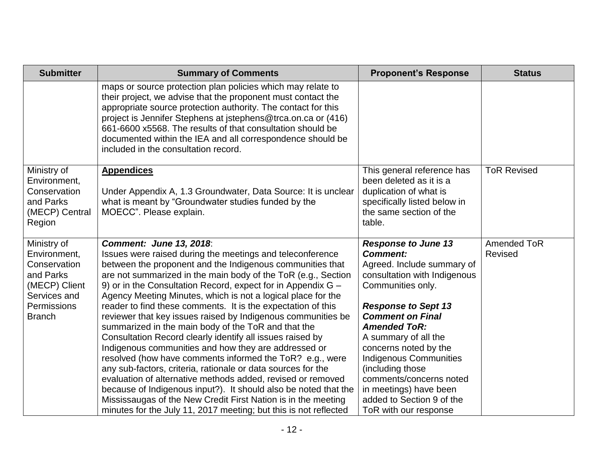| <b>Submitter</b>                                                                                                          | <b>Summary of Comments</b>                                                                                                                                                                                                                                                                                                                                                                                                                                                                                                                                                                                                                                                                                                                                                                                                                                                                                                                                                                           | <b>Proponent's Response</b>                                                                                                                                                                                                                                                                                                                                                                              | <b>Status</b>                 |
|---------------------------------------------------------------------------------------------------------------------------|------------------------------------------------------------------------------------------------------------------------------------------------------------------------------------------------------------------------------------------------------------------------------------------------------------------------------------------------------------------------------------------------------------------------------------------------------------------------------------------------------------------------------------------------------------------------------------------------------------------------------------------------------------------------------------------------------------------------------------------------------------------------------------------------------------------------------------------------------------------------------------------------------------------------------------------------------------------------------------------------------|----------------------------------------------------------------------------------------------------------------------------------------------------------------------------------------------------------------------------------------------------------------------------------------------------------------------------------------------------------------------------------------------------------|-------------------------------|
|                                                                                                                           | maps or source protection plan policies which may relate to<br>their project, we advise that the proponent must contact the<br>appropriate source protection authority. The contact for this<br>project is Jennifer Stephens at jstephens@trca.on.ca or (416)<br>661-6600 x5568. The results of that consultation should be<br>documented within the IEA and all correspondence should be<br>included in the consultation record.                                                                                                                                                                                                                                                                                                                                                                                                                                                                                                                                                                    |                                                                                                                                                                                                                                                                                                                                                                                                          |                               |
| Ministry of<br>Environment,<br>Conservation<br>and Parks<br>(MECP) Central<br>Region                                      | <b>Appendices</b><br>Under Appendix A, 1.3 Groundwater, Data Source: It is unclear<br>what is meant by "Groundwater studies funded by the<br>MOECC". Please explain.                                                                                                                                                                                                                                                                                                                                                                                                                                                                                                                                                                                                                                                                                                                                                                                                                                 | This general reference has<br>been deleted as it is a<br>duplication of what is<br>specifically listed below in<br>the same section of the<br>table.                                                                                                                                                                                                                                                     | <b>ToR Revised</b>            |
| Ministry of<br>Environment,<br>Conservation<br>and Parks<br>(MECP) Client<br>Services and<br>Permissions<br><b>Branch</b> | <b>Comment: June 13, 2018:</b><br>Issues were raised during the meetings and teleconference<br>between the proponent and the Indigenous communities that<br>are not summarized in the main body of the ToR (e.g., Section<br>9) or in the Consultation Record, expect for in Appendix G -<br>Agency Meeting Minutes, which is not a logical place for the<br>reader to find these comments. It is the expectation of this<br>reviewer that key issues raised by Indigenous communities be<br>summarized in the main body of the ToR and that the<br>Consultation Record clearly identify all issues raised by<br>Indigenous communities and how they are addressed or<br>resolved (how have comments informed the ToR? e.g., were<br>any sub-factors, criteria, rationale or data sources for the<br>evaluation of alternative methods added, revised or removed<br>because of Indigenous input?). It should also be noted that the<br>Mississaugas of the New Credit First Nation is in the meeting | <b>Response to June 13</b><br><b>Comment:</b><br>Agreed. Include summary of<br>consultation with Indigenous<br>Communities only.<br><b>Response to Sept 13</b><br><b>Comment on Final</b><br><b>Amended ToR:</b><br>A summary of all the<br>concerns noted by the<br><b>Indigenous Communities</b><br>(including those<br>comments/concerns noted<br>in meetings) have been<br>added to Section 9 of the | <b>Amended ToR</b><br>Revised |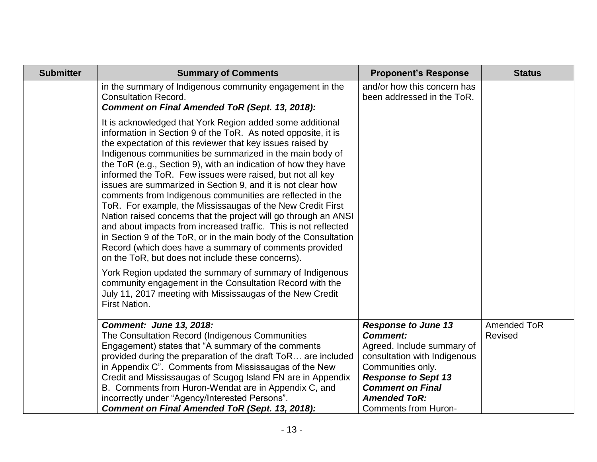| <b>Submitter</b> | <b>Summary of Comments</b>                                                                                                                                                                                                                                                                                                                                                                                                                                                                                                                                                                                                                                                                                                                                                                                                                                                                                                                                         | <b>Proponent's Response</b>                               | <b>Status</b>  |
|------------------|--------------------------------------------------------------------------------------------------------------------------------------------------------------------------------------------------------------------------------------------------------------------------------------------------------------------------------------------------------------------------------------------------------------------------------------------------------------------------------------------------------------------------------------------------------------------------------------------------------------------------------------------------------------------------------------------------------------------------------------------------------------------------------------------------------------------------------------------------------------------------------------------------------------------------------------------------------------------|-----------------------------------------------------------|----------------|
|                  | in the summary of Indigenous community engagement in the<br><b>Consultation Record.</b><br><b>Comment on Final Amended ToR (Sept. 13, 2018):</b>                                                                                                                                                                                                                                                                                                                                                                                                                                                                                                                                                                                                                                                                                                                                                                                                                   | and/or how this concern has<br>been addressed in the ToR. |                |
|                  | It is acknowledged that York Region added some additional<br>information in Section 9 of the ToR. As noted opposite, it is<br>the expectation of this reviewer that key issues raised by<br>Indigenous communities be summarized in the main body of<br>the ToR (e.g., Section 9), with an indication of how they have<br>informed the ToR. Few issues were raised, but not all key<br>issues are summarized in Section 9, and it is not clear how<br>comments from Indigenous communities are reflected in the<br>ToR. For example, the Mississaugas of the New Credit First<br>Nation raised concerns that the project will go through an ANSI<br>and about impacts from increased traffic. This is not reflected<br>in Section 9 of the ToR, or in the main body of the Consultation<br>Record (which does have a summary of comments provided<br>on the ToR, but does not include these concerns).<br>York Region updated the summary of summary of Indigenous |                                                           |                |
|                  | community engagement in the Consultation Record with the<br>July 11, 2017 meeting with Mississaugas of the New Credit<br><b>First Nation.</b>                                                                                                                                                                                                                                                                                                                                                                                                                                                                                                                                                                                                                                                                                                                                                                                                                      |                                                           |                |
|                  | <b>Comment: June 13, 2018:</b>                                                                                                                                                                                                                                                                                                                                                                                                                                                                                                                                                                                                                                                                                                                                                                                                                                                                                                                                     | <b>Response to June 13</b>                                | Amended ToR    |
|                  | The Consultation Record (Indigenous Communities<br>Engagement) states that "A summary of the comments                                                                                                                                                                                                                                                                                                                                                                                                                                                                                                                                                                                                                                                                                                                                                                                                                                                              | <b>Comment:</b><br>Agreed. Include summary of             | <b>Revised</b> |
|                  | provided during the preparation of the draft ToR are included                                                                                                                                                                                                                                                                                                                                                                                                                                                                                                                                                                                                                                                                                                                                                                                                                                                                                                      | consultation with Indigenous                              |                |
|                  | in Appendix C". Comments from Mississaugas of the New                                                                                                                                                                                                                                                                                                                                                                                                                                                                                                                                                                                                                                                                                                                                                                                                                                                                                                              | Communities only.                                         |                |
|                  | Credit and Mississaugas of Scugog Island FN are in Appendix                                                                                                                                                                                                                                                                                                                                                                                                                                                                                                                                                                                                                                                                                                                                                                                                                                                                                                        | <b>Response to Sept 13</b><br><b>Comment on Final</b>     |                |
|                  | B. Comments from Huron-Wendat are in Appendix C, and<br>incorrectly under "Agency/Interested Persons".                                                                                                                                                                                                                                                                                                                                                                                                                                                                                                                                                                                                                                                                                                                                                                                                                                                             | <b>Amended ToR:</b>                                       |                |
|                  | <b>Comment on Final Amended ToR (Sept. 13, 2018):</b>                                                                                                                                                                                                                                                                                                                                                                                                                                                                                                                                                                                                                                                                                                                                                                                                                                                                                                              | <b>Comments from Huron-</b>                               |                |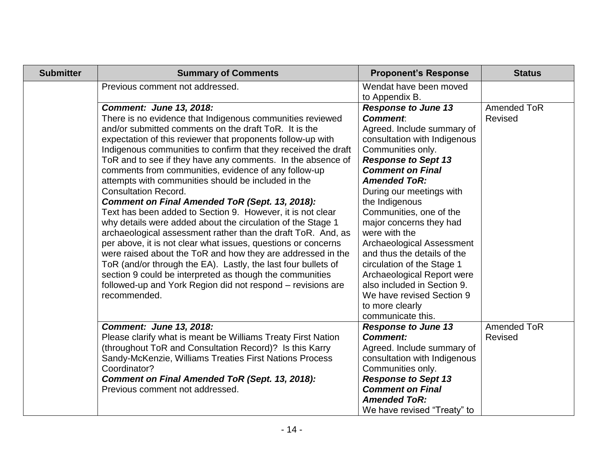| <b>Submitter</b> | <b>Summary of Comments</b>                                                                                                                                                                                                                                                                                                                                                                                                                                                                                                                                                                                                                                                                                                                                                                                                                                                                                                                                                                                                                                                                           | <b>Proponent's Response</b>                                                                                                                                                                                                                                                                                                                                                                                                                                                                                                                                        | <b>Status</b>                 |
|------------------|------------------------------------------------------------------------------------------------------------------------------------------------------------------------------------------------------------------------------------------------------------------------------------------------------------------------------------------------------------------------------------------------------------------------------------------------------------------------------------------------------------------------------------------------------------------------------------------------------------------------------------------------------------------------------------------------------------------------------------------------------------------------------------------------------------------------------------------------------------------------------------------------------------------------------------------------------------------------------------------------------------------------------------------------------------------------------------------------------|--------------------------------------------------------------------------------------------------------------------------------------------------------------------------------------------------------------------------------------------------------------------------------------------------------------------------------------------------------------------------------------------------------------------------------------------------------------------------------------------------------------------------------------------------------------------|-------------------------------|
|                  | Previous comment not addressed.                                                                                                                                                                                                                                                                                                                                                                                                                                                                                                                                                                                                                                                                                                                                                                                                                                                                                                                                                                                                                                                                      | Wendat have been moved<br>to Appendix B.                                                                                                                                                                                                                                                                                                                                                                                                                                                                                                                           |                               |
|                  | <b>Comment: June 13, 2018:</b><br>There is no evidence that Indigenous communities reviewed<br>and/or submitted comments on the draft ToR. It is the<br>expectation of this reviewer that proponents follow-up with<br>Indigenous communities to confirm that they received the draft<br>ToR and to see if they have any comments. In the absence of<br>comments from communities, evidence of any follow-up<br>attempts with communities should be included in the<br><b>Consultation Record.</b><br><b>Comment on Final Amended ToR (Sept. 13, 2018):</b><br>Text has been added to Section 9. However, it is not clear<br>why details were added about the circulation of the Stage 1<br>archaeological assessment rather than the draft ToR. And, as<br>per above, it is not clear what issues, questions or concerns<br>were raised about the ToR and how they are addressed in the<br>ToR (and/or through the EA). Lastly, the last four bullets of<br>section 9 could be interpreted as though the communities<br>followed-up and York Region did not respond – revisions are<br>recommended. | <b>Response to June 13</b><br><b>Comment</b> .<br>Agreed. Include summary of<br>consultation with Indigenous<br>Communities only.<br><b>Response to Sept 13</b><br><b>Comment on Final</b><br><b>Amended ToR:</b><br>During our meetings with<br>the Indigenous<br>Communities, one of the<br>major concerns they had<br>were with the<br>Archaeological Assessment<br>and thus the details of the<br>circulation of the Stage 1<br>Archaeological Report were<br>also included in Section 9.<br>We have revised Section 9<br>to more clearly<br>communicate this. | Amended ToR<br><b>Revised</b> |
|                  | <b>Comment: June 13, 2018:</b><br>Please clarify what is meant be Williams Treaty First Nation<br>(throughout ToR and Consultation Record)? Is this Karry<br>Sandy-McKenzie, Williams Treaties First Nations Process<br>Coordinator?<br><b>Comment on Final Amended ToR (Sept. 13, 2018):</b><br>Previous comment not addressed.                                                                                                                                                                                                                                                                                                                                                                                                                                                                                                                                                                                                                                                                                                                                                                     | <b>Response to June 13</b><br><b>Comment:</b><br>Agreed. Include summary of<br>consultation with Indigenous<br>Communities only.<br><b>Response to Sept 13</b><br><b>Comment on Final</b><br><b>Amended ToR:</b><br>We have revised "Treaty" to                                                                                                                                                                                                                                                                                                                    | <b>Amended ToR</b><br>Revised |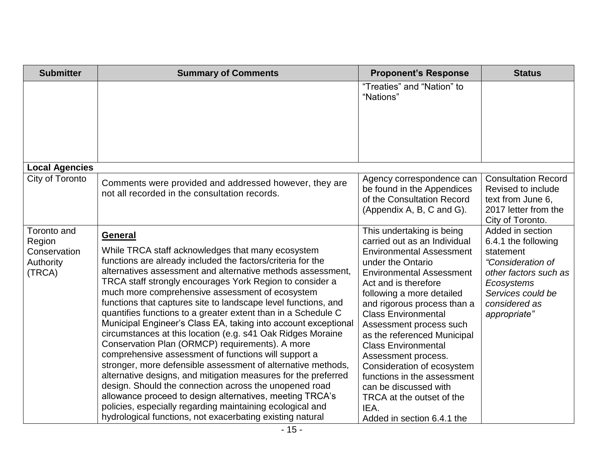| <b>Submitter</b>                                             | <b>Summary of Comments</b>                                                                                                                                                                                                                                                                                                                                                                                                                                                                                                                                                                                                                                                                                                                                                                                                                                                                                                                                                                                                                                                 | <b>Proponent's Response</b>                                                                                                                                                                                                                                                                                                                                                                                                                                                                                                                    | <b>Status</b>                                                                                                                                                          |
|--------------------------------------------------------------|----------------------------------------------------------------------------------------------------------------------------------------------------------------------------------------------------------------------------------------------------------------------------------------------------------------------------------------------------------------------------------------------------------------------------------------------------------------------------------------------------------------------------------------------------------------------------------------------------------------------------------------------------------------------------------------------------------------------------------------------------------------------------------------------------------------------------------------------------------------------------------------------------------------------------------------------------------------------------------------------------------------------------------------------------------------------------|------------------------------------------------------------------------------------------------------------------------------------------------------------------------------------------------------------------------------------------------------------------------------------------------------------------------------------------------------------------------------------------------------------------------------------------------------------------------------------------------------------------------------------------------|------------------------------------------------------------------------------------------------------------------------------------------------------------------------|
|                                                              |                                                                                                                                                                                                                                                                                                                                                                                                                                                                                                                                                                                                                                                                                                                                                                                                                                                                                                                                                                                                                                                                            | "Treaties" and "Nation" to<br>"Nations"                                                                                                                                                                                                                                                                                                                                                                                                                                                                                                        |                                                                                                                                                                        |
| <b>Local Agencies</b>                                        |                                                                                                                                                                                                                                                                                                                                                                                                                                                                                                                                                                                                                                                                                                                                                                                                                                                                                                                                                                                                                                                                            |                                                                                                                                                                                                                                                                                                                                                                                                                                                                                                                                                |                                                                                                                                                                        |
| City of Toronto                                              | Comments were provided and addressed however, they are<br>not all recorded in the consultation records.                                                                                                                                                                                                                                                                                                                                                                                                                                                                                                                                                                                                                                                                                                                                                                                                                                                                                                                                                                    | Agency correspondence can<br>be found in the Appendices<br>of the Consultation Record<br>(Appendix A, B, C and G).                                                                                                                                                                                                                                                                                                                                                                                                                             | <b>Consultation Record</b><br>Revised to include<br>text from June 6,<br>2017 letter from the<br>City of Toronto.                                                      |
| Toronto and<br>Region<br>Conservation<br>Authority<br>(TRCA) | General<br>While TRCA staff acknowledges that many ecosystem<br>functions are already included the factors/criteria for the<br>alternatives assessment and alternative methods assessment.<br>TRCA staff strongly encourages York Region to consider a<br>much more comprehensive assessment of ecosystem<br>functions that captures site to landscape level functions, and<br>quantifies functions to a greater extent than in a Schedule C<br>Municipal Engineer's Class EA, taking into account exceptional<br>circumstances at this location (e.g. s41 Oak Ridges Moraine<br>Conservation Plan (ORMCP) requirements). A more<br>comprehensive assessment of functions will support a<br>stronger, more defensible assessment of alternative methods,<br>alternative designs, and mitigation measures for the preferred<br>design. Should the connection across the unopened road<br>allowance proceed to design alternatives, meeting TRCA's<br>policies, especially regarding maintaining ecological and<br>hydrological functions, not exacerbating existing natural | This undertaking is being<br>carried out as an Individual<br><b>Environmental Assessment</b><br>under the Ontario<br><b>Environmental Assessment</b><br>Act and is therefore<br>following a more detailed<br>and rigorous process than a<br><b>Class Environmental</b><br>Assessment process such<br>as the referenced Municipal<br><b>Class Environmental</b><br>Assessment process.<br>Consideration of ecosystem<br>functions in the assessment<br>can be discussed with<br>TRCA at the outset of the<br>IEA.<br>Added in section 6.4.1 the | Added in section<br>6.4.1 the following<br>statement<br>"Consideration of<br>other factors such as<br>Ecosystems<br>Services could be<br>considered as<br>appropriate" |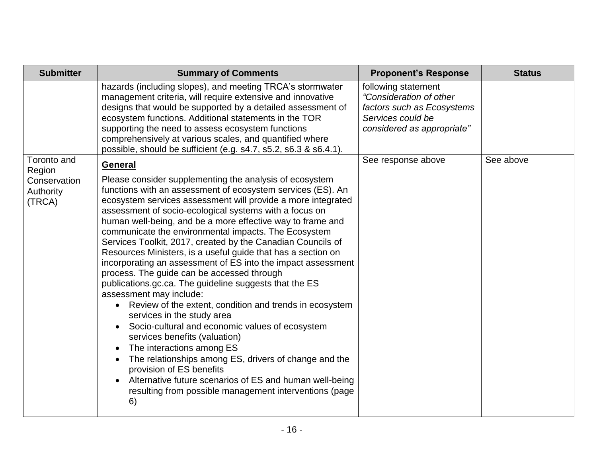| <b>Submitter</b>                                             | <b>Summary of Comments</b>                                                                                                                                                                                                                                                                                                                                                                                                                                                                                                                                                                                                                                                                                                                                                                                                                                                                                                                                                                                                                                                                                                                                                     | <b>Proponent's Response</b>                                                                                                     | <b>Status</b> |
|--------------------------------------------------------------|--------------------------------------------------------------------------------------------------------------------------------------------------------------------------------------------------------------------------------------------------------------------------------------------------------------------------------------------------------------------------------------------------------------------------------------------------------------------------------------------------------------------------------------------------------------------------------------------------------------------------------------------------------------------------------------------------------------------------------------------------------------------------------------------------------------------------------------------------------------------------------------------------------------------------------------------------------------------------------------------------------------------------------------------------------------------------------------------------------------------------------------------------------------------------------|---------------------------------------------------------------------------------------------------------------------------------|---------------|
|                                                              | hazards (including slopes), and meeting TRCA's stormwater<br>management criteria, will require extensive and innovative<br>designs that would be supported by a detailed assessment of<br>ecosystem functions. Additional statements in the TOR<br>supporting the need to assess ecosystem functions<br>comprehensively at various scales, and quantified where<br>possible, should be sufficient (e.g. s4.7, s5.2, s6.3 & s6.4.1).                                                                                                                                                                                                                                                                                                                                                                                                                                                                                                                                                                                                                                                                                                                                            | following statement<br>"Consideration of other<br>factors such as Ecosystems<br>Services could be<br>considered as appropriate" |               |
| Toronto and<br>Region<br>Conservation<br>Authority<br>(TRCA) | <b>General</b><br>Please consider supplementing the analysis of ecosystem<br>functions with an assessment of ecosystem services (ES). An<br>ecosystem services assessment will provide a more integrated<br>assessment of socio-ecological systems with a focus on<br>human well-being, and be a more effective way to frame and<br>communicate the environmental impacts. The Ecosystem<br>Services Toolkit, 2017, created by the Canadian Councils of<br>Resources Ministers, is a useful guide that has a section on<br>incorporating an assessment of ES into the impact assessment<br>process. The guide can be accessed through<br>publications.gc.ca. The guideline suggests that the ES<br>assessment may include:<br>Review of the extent, condition and trends in ecosystem<br>$\bullet$<br>services in the study area<br>Socio-cultural and economic values of ecosystem<br>services benefits (valuation)<br>The interactions among ES<br>The relationships among ES, drivers of change and the<br>provision of ES benefits<br>Alternative future scenarios of ES and human well-being<br>$\bullet$<br>resulting from possible management interventions (page<br>6) | See response above                                                                                                              | See above     |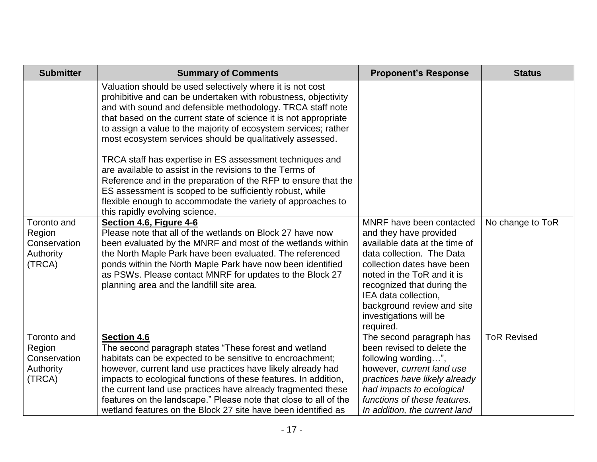| <b>Submitter</b>                                             | <b>Summary of Comments</b>                                                                                                                                                                                                                                                                                                                                                                                                                                                                                                                                                                                                                                                                                                                           | <b>Proponent's Response</b>                                                                                                                                                                                                                                                                             | <b>Status</b>      |
|--------------------------------------------------------------|------------------------------------------------------------------------------------------------------------------------------------------------------------------------------------------------------------------------------------------------------------------------------------------------------------------------------------------------------------------------------------------------------------------------------------------------------------------------------------------------------------------------------------------------------------------------------------------------------------------------------------------------------------------------------------------------------------------------------------------------------|---------------------------------------------------------------------------------------------------------------------------------------------------------------------------------------------------------------------------------------------------------------------------------------------------------|--------------------|
|                                                              | Valuation should be used selectively where it is not cost<br>prohibitive and can be undertaken with robustness, objectivity<br>and with sound and defensible methodology. TRCA staff note<br>that based on the current state of science it is not appropriate<br>to assign a value to the majority of ecosystem services; rather<br>most ecosystem services should be qualitatively assessed.<br>TRCA staff has expertise in ES assessment techniques and<br>are available to assist in the revisions to the Terms of<br>Reference and in the preparation of the RFP to ensure that the<br>ES assessment is scoped to be sufficiently robust, while<br>flexible enough to accommodate the variety of approaches to<br>this rapidly evolving science. |                                                                                                                                                                                                                                                                                                         |                    |
| Toronto and<br>Region<br>Conservation<br>Authority<br>(TRCA) | Section 4.6, Figure 4-6<br>Please note that all of the wetlands on Block 27 have now<br>been evaluated by the MNRF and most of the wetlands within<br>the North Maple Park have been evaluated. The referenced<br>ponds within the North Maple Park have now been identified<br>as PSWs. Please contact MNRF for updates to the Block 27<br>planning area and the landfill site area.                                                                                                                                                                                                                                                                                                                                                                | MNRF have been contacted<br>and they have provided<br>available data at the time of<br>data collection. The Data<br>collection dates have been<br>noted in the ToR and it is<br>recognized that during the<br>IEA data collection,<br>background review and site<br>investigations will be<br>required. | No change to ToR   |
| Toronto and<br>Region<br>Conservation<br>Authority<br>(TRCA) | <b>Section 4.6</b><br>The second paragraph states "These forest and wetland<br>habitats can be expected to be sensitive to encroachment;<br>however, current land use practices have likely already had<br>impacts to ecological functions of these features. In addition,<br>the current land use practices have already fragmented these<br>features on the landscape." Please note that close to all of the<br>wetland features on the Block 27 site have been identified as                                                                                                                                                                                                                                                                      | The second paragraph has<br>been revised to delete the<br>following wording",<br>however, current land use<br>practices have likely already<br>had impacts to ecological<br>functions of these features.<br>In addition, the current land                                                               | <b>ToR Revised</b> |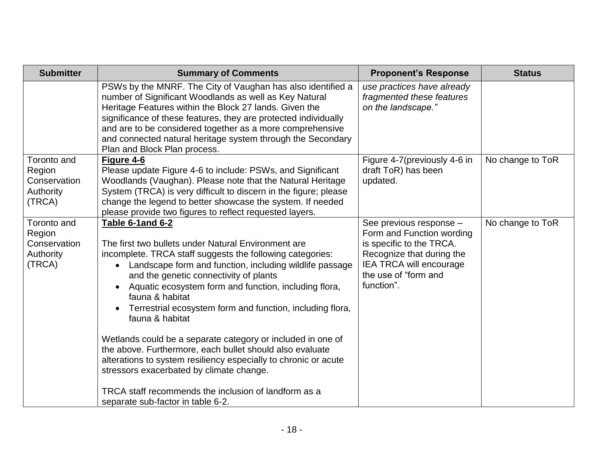| <b>Submitter</b>                                                    | <b>Summary of Comments</b>                                                                                                                                                                                                                                                                                                                                                                                                                                                                                                                                                                                                                                                                                                                                 | <b>Proponent's Response</b>                                                                                                                                                    | <b>Status</b>    |
|---------------------------------------------------------------------|------------------------------------------------------------------------------------------------------------------------------------------------------------------------------------------------------------------------------------------------------------------------------------------------------------------------------------------------------------------------------------------------------------------------------------------------------------------------------------------------------------------------------------------------------------------------------------------------------------------------------------------------------------------------------------------------------------------------------------------------------------|--------------------------------------------------------------------------------------------------------------------------------------------------------------------------------|------------------|
|                                                                     | PSWs by the MNRF. The City of Vaughan has also identified a<br>number of Significant Woodlands as well as Key Natural<br>Heritage Features within the Block 27 lands. Given the<br>significance of these features, they are protected individually<br>and are to be considered together as a more comprehensive<br>and connected natural heritage system through the Secondary<br>Plan and Block Plan process.                                                                                                                                                                                                                                                                                                                                             | use practices have already<br>fragmented these features<br>on the landscape."                                                                                                  |                  |
| Toronto and<br>Region<br>Conservation<br><b>Authority</b><br>(TRCA) | Figure 4-6<br>Please update Figure 4-6 to include: PSWs, and Significant<br>Woodlands (Vaughan). Please note that the Natural Heritage<br>System (TRCA) is very difficult to discern in the figure; please<br>change the legend to better showcase the system. If needed<br>please provide two figures to reflect requested layers.                                                                                                                                                                                                                                                                                                                                                                                                                        | Figure 4-7(previously 4-6 in<br>draft ToR) has been<br>updated.                                                                                                                | No change to ToR |
| <b>Toronto and</b><br>Region<br>Conservation<br>Authority<br>(TRCA) | Table 6-1 and 6-2<br>The first two bullets under Natural Environment are<br>incomplete. TRCA staff suggests the following categories:<br>Landscape form and function, including wildlife passage<br>$\bullet$<br>and the genetic connectivity of plants<br>Aquatic ecosystem form and function, including flora,<br>fauna & habitat<br>Terrestrial ecosystem form and function, including flora,<br>fauna & habitat<br>Wetlands could be a separate category or included in one of<br>the above. Furthermore, each bullet should also evaluate<br>alterations to system resiliency especially to chronic or acute<br>stressors exacerbated by climate change.<br>TRCA staff recommends the inclusion of landform as a<br>separate sub-factor in table 6-2. | See previous response -<br>Form and Function wording<br>is specific to the TRCA.<br>Recognize that during the<br>IEA TRCA will encourage<br>the use of "form and<br>function". | No change to ToR |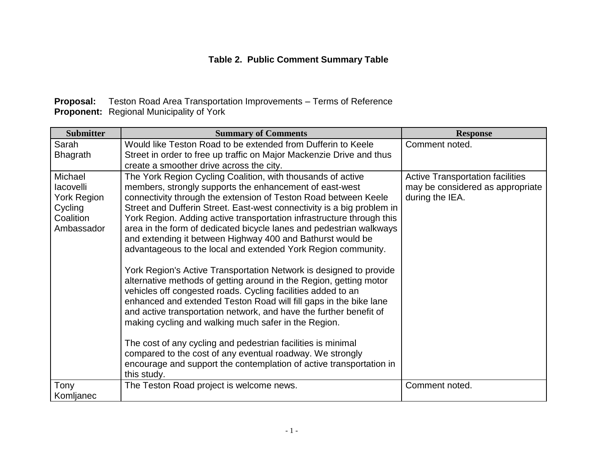### **Table 2. Public Comment Summary Table**

| <b>Proposal:</b> Teston Road Area Transportation Improvements – Terms of Reference |
|------------------------------------------------------------------------------------|
| <b>Proponent:</b> Regional Municipality of York                                    |

| <b>Submitter</b>                                                                 | <b>Summary of Comments</b>                                                                                                                                                                                                                                                                                                                                                                                                                                                                                                                                                                                                                                                                                                                                                                                                                                                                                                                                                                                                                                                                                                                                                           | <b>Response</b>                                                                                |
|----------------------------------------------------------------------------------|--------------------------------------------------------------------------------------------------------------------------------------------------------------------------------------------------------------------------------------------------------------------------------------------------------------------------------------------------------------------------------------------------------------------------------------------------------------------------------------------------------------------------------------------------------------------------------------------------------------------------------------------------------------------------------------------------------------------------------------------------------------------------------------------------------------------------------------------------------------------------------------------------------------------------------------------------------------------------------------------------------------------------------------------------------------------------------------------------------------------------------------------------------------------------------------|------------------------------------------------------------------------------------------------|
| Sarah<br><b>Bhagrath</b>                                                         | Would like Teston Road to be extended from Dufferin to Keele<br>Street in order to free up traffic on Major Mackenzie Drive and thus<br>create a smoother drive across the city.                                                                                                                                                                                                                                                                                                                                                                                                                                                                                                                                                                                                                                                                                                                                                                                                                                                                                                                                                                                                     | Comment noted.                                                                                 |
| Michael<br>lacovelli<br><b>York Region</b><br>Cycling<br>Coalition<br>Ambassador | The York Region Cycling Coalition, with thousands of active<br>members, strongly supports the enhancement of east-west<br>connectivity through the extension of Teston Road between Keele<br>Street and Dufferin Street. East-west connectivity is a big problem in<br>York Region. Adding active transportation infrastructure through this<br>area in the form of dedicated bicycle lanes and pedestrian walkways<br>and extending it between Highway 400 and Bathurst would be<br>advantageous to the local and extended York Region community.<br>York Region's Active Transportation Network is designed to provide<br>alternative methods of getting around in the Region, getting motor<br>vehicles off congested roads. Cycling facilities added to an<br>enhanced and extended Teston Road will fill gaps in the bike lane<br>and active transportation network, and have the further benefit of<br>making cycling and walking much safer in the Region.<br>The cost of any cycling and pedestrian facilities is minimal<br>compared to the cost of any eventual roadway. We strongly<br>encourage and support the contemplation of active transportation in<br>this study. | <b>Active Transportation facilities</b><br>may be considered as appropriate<br>during the IEA. |
| Tony<br>Komljanec                                                                | The Teston Road project is welcome news.                                                                                                                                                                                                                                                                                                                                                                                                                                                                                                                                                                                                                                                                                                                                                                                                                                                                                                                                                                                                                                                                                                                                             | Comment noted.                                                                                 |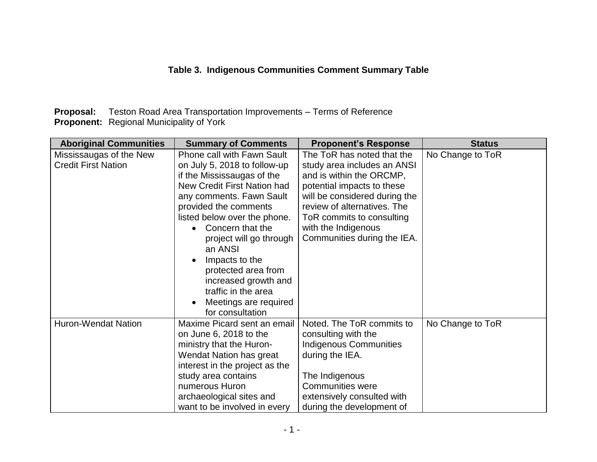**Proposal:** Teston Road Area Transportation Improvements – Terms of Reference **Proponent:** Regional Municipality of York

| <b>Aboriginal Communities</b>                         | <b>Summary of Comments</b>                                                                                                                                                                                                                                                                                                                                                                                                                   | <b>Proponent's Response</b>                                                                                                                                                                                                                                            | <b>Status</b>    |
|-------------------------------------------------------|----------------------------------------------------------------------------------------------------------------------------------------------------------------------------------------------------------------------------------------------------------------------------------------------------------------------------------------------------------------------------------------------------------------------------------------------|------------------------------------------------------------------------------------------------------------------------------------------------------------------------------------------------------------------------------------------------------------------------|------------------|
| Mississaugas of the New<br><b>Credit First Nation</b> | <b>Phone call with Fawn Sault</b><br>on July 5, 2018 to follow-up<br>if the Mississaugas of the<br>New Credit First Nation had<br>any comments. Fawn Sault<br>provided the comments<br>listed below over the phone.<br>Concern that the<br>$\bullet$<br>project will go through<br>an ANSI<br>Impacts to the<br>$\bullet$<br>protected area from<br>increased growth and<br>traffic in the area<br>Meetings are required<br>for consultation | The ToR has noted that the<br>study area includes an ANSI<br>and is within the ORCMP,<br>potential impacts to these<br>will be considered during the<br>review of alternatives. The<br>ToR commits to consulting<br>with the Indigenous<br>Communities during the IEA. | No Change to ToR |
| <b>Huron-Wendat Nation</b>                            | Maxime Picard sent an email<br>on June 6, 2018 to the<br>ministry that the Huron-<br>Wendat Nation has great<br>interest in the project as the<br>study area contains<br>numerous Huron<br>archaeological sites and<br>want to be involved in every                                                                                                                                                                                          | Noted. The ToR commits to<br>consulting with the<br><b>Indigenous Communities</b><br>during the IEA.<br>The Indigenous<br><b>Communities were</b><br>extensively consulted with<br>during the development of                                                           | No Change to ToR |